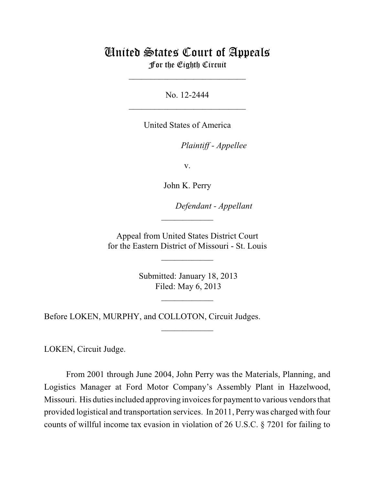## United States Court of Appeals For the Eighth Circuit

\_\_\_\_\_\_\_\_\_\_\_\_\_\_\_\_\_\_\_\_\_\_\_\_\_\_\_

No. 12-2444  $\mathcal{L}_\text{max}$  , which is a set of the set of the set of the set of the set of the set of the set of the set of the set of the set of the set of the set of the set of the set of the set of the set of the set of the set of

United States of America

Plaintiff - Appellee

v.

John K. Perry

lllllllllllllllllllll *Defendant - Appellant*

 Appeal from United States District Court for the Eastern District of Missouri - St. Louis

 $\overline{\phantom{a}}$  , where  $\overline{\phantom{a}}$ 

 $\frac{1}{2}$ 

 Submitted: January 18, 2013 Filed: May 6, 2013

 $\frac{1}{2}$ 

 $\overline{\phantom{a}}$  , where  $\overline{\phantom{a}}$ 

Before LOKEN, MURPHY, and COLLOTON, Circuit Judges.

LOKEN, Circuit Judge.

From 2001 through June 2004, John Perry was the Materials, Planning, and Logistics Manager at Ford Motor Company's Assembly Plant in Hazelwood, Missouri. His duties included approving invoices for payment to various vendors that provided logistical and transportation services. In 2011, Perry was charged with four counts of willful income tax evasion in violation of 26 U.S.C. § 7201 for failing to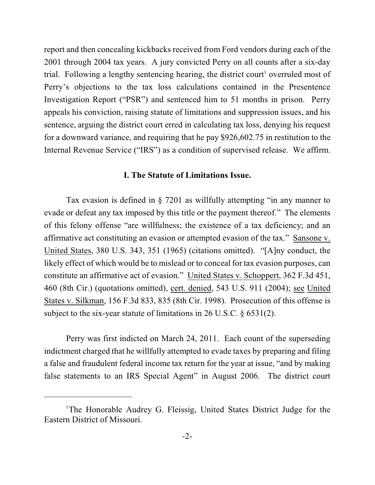report and then concealing kickbacks received from Ford vendors during each of the 2001 through 2004 tax years. A jury convicted Perry on all counts after a six-day trial. Following a lengthy sentencing hearing, the district court<sup>1</sup> overruled most of Perry's objections to the tax loss calculations contained in the Presentence Investigation Report ("PSR") and sentenced him to 51 months in prison. Perry appeals his conviction, raising statute of limitations and suppression issues, and his sentence, arguing the district court erred in calculating tax loss, denying his request for a downward variance, and requiring that he pay \$926,602.75 in restitution to the Internal Revenue Service ("IRS") as a condition of supervised release. We affirm.

## **I. The Statute of Limitations Issue.**

Tax evasion is defined in § 7201 as willfully attempting "in any manner to evade or defeat any tax imposed by this title or the payment thereof." The elements of this felony offense "are willfulness; the existence of a tax deficiency; and an affirmative act constituting an evasion or attempted evasion of the tax." Sansone v. United States, 380 U.S. 343, 351 (1965) (citations omitted). "[A]ny conduct, the likely effect of which would be to mislead or to conceal for tax evasion purposes, can constitute an affirmative act of evasion." United States v. Schoppert, 362 F.3d 451, 460 (8th Cir.) (quotations omitted), cert. denied, 543 U.S. 911 (2004); see United States v. Silkman, 156 F.3d 833, 835 (8th Cir. 1998). Prosecution of this offense is subject to the six-year statute of limitations in 26 U.S.C. § 6531(2).

Perry was first indicted on March 24, 2011. Each count of the superseding indictment charged that he willfully attempted to evade taxes by preparing and filing a false and fraudulent federal income tax return for the year at issue, "and by making false statements to an IRS Special Agent" in August 2006. The district court

<sup>&</sup>lt;sup>1</sup>The Honorable Audrey G. Fleissig, United States District Judge for the Eastern District of Missouri.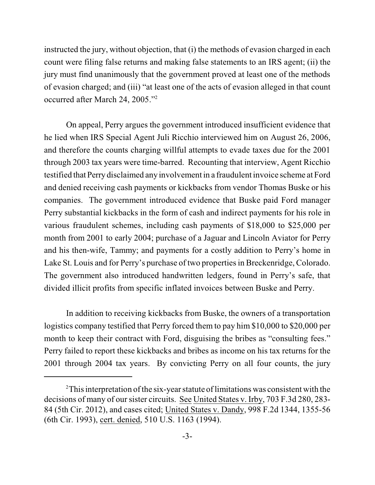instructed the jury, without objection, that (i) the methods of evasion charged in each count were filing false returns and making false statements to an IRS agent; (ii) the jury must find unanimously that the government proved at least one of the methods of evasion charged; and (iii) "at least one of the acts of evasion alleged in that count occurred after March 24, 2005."<sup>2</sup>

On appeal, Perry argues the government introduced insufficient evidence that he lied when IRS Special Agent Juli Ricchio interviewed him on August 26, 2006, and therefore the counts charging willful attempts to evade taxes due for the 2001 through 2003 tax years were time-barred. Recounting that interview, Agent Ricchio testified that Perry disclaimed any involvement in a fraudulent invoice scheme at Ford and denied receiving cash payments or kickbacks from vendor Thomas Buske or his companies. The government introduced evidence that Buske paid Ford manager Perry substantial kickbacks in the form of cash and indirect payments for his role in various fraudulent schemes, including cash payments of \$18,000 to \$25,000 per month from 2001 to early 2004; purchase of a Jaguar and Lincoln Aviator for Perry and his then-wife, Tammy; and payments for a costly addition to Perry's home in Lake St. Louis and for Perry's purchase of two properties in Breckenridge, Colorado. The government also introduced handwritten ledgers, found in Perry's safe, that divided illicit profits from specific inflated invoices between Buske and Perry.

In addition to receiving kickbacks from Buske, the owners of a transportation logistics company testified that Perry forced them to pay him \$10,000 to \$20,000 per month to keep their contract with Ford, disguising the bribes as "consulting fees." Perry failed to report these kickbacks and bribes as income on his tax returns for the 2001 through 2004 tax years. By convicting Perry on all four counts, the jury

 $2^2$ This interpretation of the six-year statute of limitations was consistent with the decisions of many of our sister circuits. See United States v. Irby, 703 F.3d 280, 283- 84 (5th Cir. 2012), and cases cited; United States v. Dandy, 998 F.2d 1344, 1355-56 (6th Cir. 1993), cert. denied, 510 U.S. 1163 (1994).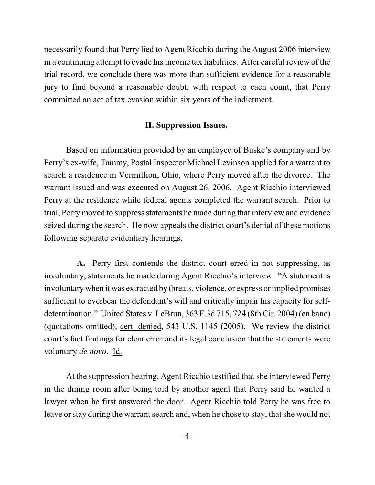necessarily found that Perry lied to Agent Ricchio during the August 2006 interview in a continuing attempt to evade his income tax liabilities. After careful review of the trial record, we conclude there was more than sufficient evidence for a reasonable jury to find beyond a reasonable doubt, with respect to each count, that Perry committed an act of tax evasion within six years of the indictment.

## **II. Suppression Issues.**

Based on information provided by an employee of Buske's company and by Perry's ex-wife, Tammy, Postal Inspector Michael Levinson applied for a warrant to search a residence in Vermillion, Ohio, where Perry moved after the divorce. The warrant issued and was executed on August 26, 2006. Agent Ricchio interviewed Perry at the residence while federal agents completed the warrant search. Prior to trial, Perry moved to suppress statements he made during that interview and evidence seized during the search. He now appeals the district court's denial of these motions following separate evidentiary hearings.

**A.** Perry first contends the district court erred in not suppressing, as involuntary, statements he made during Agent Ricchio's interview. "A statement is involuntary when it was extracted by threats, violence, or express or implied promises sufficient to overbear the defendant's will and critically impair his capacity for selfdetermination." United States v. LeBrun, 363 F.3d 715, 724 (8th Cir. 2004) (en banc) (quotations omitted), cert. denied, 543 U.S. 1145 (2005). We review the district court's fact findings for clear error and its legal conclusion that the statements were voluntary *de novo*. Id.

At the suppression hearing, Agent Ricchio testified that she interviewed Perry in the dining room after being told by another agent that Perry said he wanted a lawyer when he first answered the door. Agent Ricchio told Perry he was free to leave or stay during the warrant search and, when he chose to stay, that she would not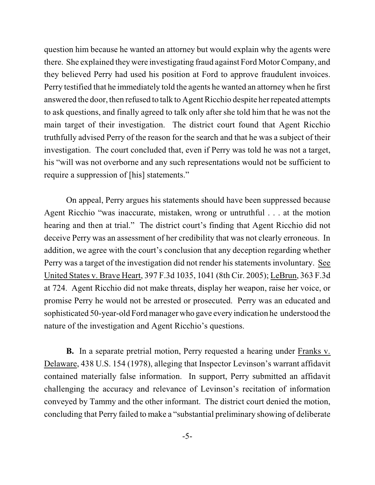question him because he wanted an attorney but would explain why the agents were there. She explained theywere investigating fraud against Ford Motor Company, and they believed Perry had used his position at Ford to approve fraudulent invoices. Perry testified that he immediately told the agents he wanted an attorney when he first answered the door, then refused to talk to Agent Ricchio despite her repeated attempts to ask questions, and finally agreed to talk only after she told him that he was not the main target of their investigation. The district court found that Agent Ricchio truthfully advised Perry of the reason for the search and that he was a subject of their investigation. The court concluded that, even if Perry was told he was not a target, his "will was not overborne and any such representations would not be sufficient to require a suppression of [his] statements."

On appeal, Perry argues his statements should have been suppressed because Agent Ricchio "was inaccurate, mistaken, wrong or untruthful . . . at the motion hearing and then at trial." The district court's finding that Agent Ricchio did not deceive Perry was an assessment of her credibility that was not clearly erroneous. In addition, we agree with the court's conclusion that any deception regarding whether Perry was a target of the investigation did not render his statements involuntary. See United States v. Brave Heart, 397 F.3d 1035, 1041 (8th Cir. 2005); LeBrun, 363 F.3d at 724. Agent Ricchio did not make threats, display her weapon, raise her voice, or promise Perry he would not be arrested or prosecuted. Perry was an educated and sophisticated 50-year-old Fordmanager who gave every indication he understood the nature of the investigation and Agent Ricchio's questions.

**B.** In a separate pretrial motion, Perry requested a hearing under Franks v. Delaware, 438 U.S. 154 (1978), alleging that Inspector Levinson's warrant affidavit contained materially false information. In support, Perry submitted an affidavit challenging the accuracy and relevance of Levinson's recitation of information conveyed by Tammy and the other informant. The district court denied the motion, concluding that Perry failed to make a "substantial preliminary showing of deliberate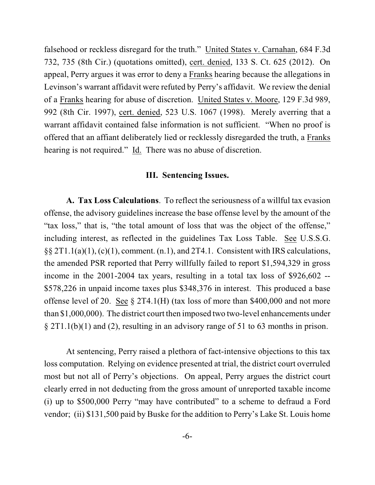falsehood or reckless disregard for the truth." United States v. Carnahan, 684 F.3d 732, 735 (8th Cir.) (quotations omitted), cert. denied, 133 S. Ct. 625 (2012). On appeal, Perry argues it was error to deny a Franks hearing because the allegations in Levinson's warrant affidavit were refuted by Perry's affidavit. We review the denial of a Franks hearing for abuse of discretion. United States v. Moore, 129 F.3d 989, 992 (8th Cir. 1997), cert. denied, 523 U.S. 1067 (1998). Merely averring that a warrant affidavit contained false information is not sufficient. "When no proof is offered that an affiant deliberately lied or recklessly disregarded the truth, a Franks hearing is not required." Id. There was no abuse of discretion.

## **III. Sentencing Issues.**

**A. Tax Loss Calculations**. To reflect the seriousness of a willful tax evasion offense, the advisory guidelines increase the base offense level by the amount of the "tax loss," that is, "the total amount of loss that was the object of the offense," including interest, as reflected in the guidelines Tax Loss Table. See U.S.S.G. §§ 2T1.1(a)(1), (c)(1), comment. (n.1), and 2T4.1. Consistent with IRS calculations, the amended PSR reported that Perry willfully failed to report \$1,594,329 in gross income in the 2001-2004 tax years, resulting in a total tax loss of \$926,602 -- \$578,226 in unpaid income taxes plus \$348,376 in interest. This produced a base offense level of 20. See § 2T4.1(H) (tax loss of more than \$400,000 and not more than \$1,000,000). The district court then imposed two two-level enhancements under § 2T1.1(b)(1) and (2), resulting in an advisory range of 51 to 63 months in prison.

At sentencing, Perry raised a plethora of fact-intensive objections to this tax loss computation. Relying on evidence presented at trial, the district court overruled most but not all of Perry's objections. On appeal, Perry argues the district court clearly erred in not deducting from the gross amount of unreported taxable income (i) up to \$500,000 Perry "may have contributed" to a scheme to defraud a Ford vendor; (ii) \$131,500 paid by Buske for the addition to Perry's Lake St. Louis home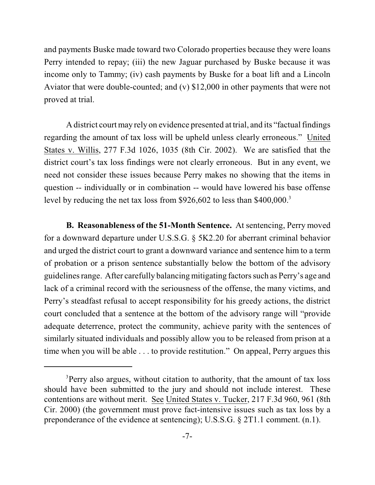and payments Buske made toward two Colorado properties because they were loans Perry intended to repay; (iii) the new Jaguar purchased by Buske because it was income only to Tammy; (iv) cash payments by Buske for a boat lift and a Lincoln Aviator that were double-counted; and (v) \$12,000 in other payments that were not proved at trial.

A district court may rely on evidence presented at trial, and its "factual findings regarding the amount of tax loss will be upheld unless clearly erroneous." United States v. Willis, 277 F.3d 1026, 1035 (8th Cir. 2002). We are satisfied that the district court's tax loss findings were not clearly erroneous. But in any event, we need not consider these issues because Perry makes no showing that the items in question -- individually or in combination -- would have lowered his base offense level by reducing the net tax loss from \$926,602 to less than \$400,000.<sup>3</sup>

**B. Reasonableness of the 51-Month Sentence.** At sentencing, Perry moved for a downward departure under U.S.S.G. § 5K2.20 for aberrant criminal behavior and urged the district court to grant a downward variance and sentence him to a term of probation or a prison sentence substantially below the bottom of the advisory guidelinesrange. After carefully balancing mitigating factors such as Perry's age and lack of a criminal record with the seriousness of the offense, the many victims, and Perry's steadfast refusal to accept responsibility for his greedy actions, the district court concluded that a sentence at the bottom of the advisory range will "provide adequate deterrence, protect the community, achieve parity with the sentences of similarly situated individuals and possibly allow you to be released from prison at a time when you will be able . . . to provide restitution." On appeal, Perry argues this

<sup>&</sup>lt;sup>3</sup>Perry also argues, without citation to authority, that the amount of tax loss should have been submitted to the jury and should not include interest. These contentions are without merit. See United States v. Tucker, 217 F.3d 960, 961 (8th Cir. 2000) (the government must prove fact-intensive issues such as tax loss by a preponderance of the evidence at sentencing); U.S.S.G. § 2T1.1 comment. (n.1).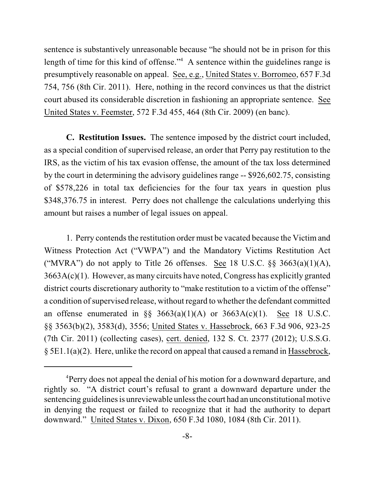sentence is substantively unreasonable because "he should not be in prison for this length of time for this kind of offense." $4$  A sentence within the guidelines range is presumptively reasonable on appeal. See, e.g., United States v. Borromeo, 657 F.3d 754, 756 (8th Cir. 2011). Here, nothing in the record convinces us that the district court abused its considerable discretion in fashioning an appropriate sentence. See United States v. Feemster, 572 F.3d 455, 464 (8th Cir. 2009) (en banc).

**C. Restitution Issues.** The sentence imposed by the district court included, as a special condition of supervised release, an order that Perry pay restitution to the IRS, as the victim of his tax evasion offense, the amount of the tax loss determined by the court in determining the advisory guidelines range -- \$926,602.75, consisting of \$578,226 in total tax deficiencies for the four tax years in question plus \$348,376.75 in interest. Perry does not challenge the calculations underlying this amount but raises a number of legal issues on appeal.

1. Perry contends the restitution order must be vacated because the Victim and Witness Protection Act ("VWPA") and the Mandatory Victims Restitution Act ("MVRA") do not apply to Title 26 offenses. See 18 U.S.C.  $\S$ § 3663(a)(1)(A), 3663A(c)(1). However, as many circuits have noted, Congress has explicitly granted district courts discretionary authority to "make restitution to a victim of the offense" a condition of supervised release, without regard to whether the defendant committed an offense enumerated in  $\S$ § 3663(a)(1)(A) or 3663A(c)(1). See 18 U.S.C. §§ 3563(b)(2), 3583(d), 3556; United States v. Hassebrock, 663 F.3d 906, 923-25 (7th Cir. 2011) (collecting cases), cert. denied, 132 S. Ct. 2377 (2012); U.S.S.G. § 5E1.1(a)(2). Here, unlike the record on appeal that caused a remand in Hassebrock,

<sup>&</sup>lt;sup>4</sup>Perry does not appeal the denial of his motion for a downward departure, and rightly so. "A district court's refusal to grant a downward departure under the sentencing guidelines is unreviewable unless the court had an unconstitutional motive in denying the request or failed to recognize that it had the authority to depart downward." United States v. Dixon, 650 F.3d 1080, 1084 (8th Cir. 2011).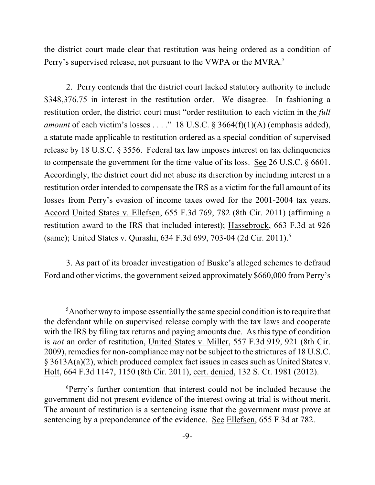the district court made clear that restitution was being ordered as a condition of Perry's supervised release, not pursuant to the VWPA or the MVRA.<sup>5</sup>

2. Perry contends that the district court lacked statutory authority to include \$348,376.75 in interest in the restitution order. We disagree. In fashioning a restitution order, the district court must "order restitution to each victim in the *full amount* of each victim's losses . . . ." 18 U.S.C. § 3664(f)(1)(A) (emphasis added), a statute made applicable to restitution ordered as a special condition of supervised release by 18 U.S.C. § 3556. Federal tax law imposes interest on tax delinquencies to compensate the government for the time-value of its loss. See 26 U.S.C. § 6601. Accordingly, the district court did not abuse its discretion by including interest in a restitution order intended to compensate the IRS as a victim for the full amount of its losses from Perry's evasion of income taxes owed for the 2001-2004 tax years. Accord United States v. Ellefsen, 655 F.3d 769, 782 (8th Cir. 2011) (affirming a restitution award to the IRS that included interest); Hassebrock, 663 F.3d at 926 (same); United States v. Qurashi, 634 F.3d 699, 703-04 (2d Cir. 2011). 6

3. As part of its broader investigation of Buske's alleged schemes to defraud Ford and other victims, the government seized approximately \$660,000 from Perry's

 $\delta$ Another way to impose essentially the same special condition is to require that the defendant while on supervised release comply with the tax laws and cooperate with the IRS by filing tax returns and paying amounts due. As this type of condition is *not* an order of restitution, United States v. Miller, 557 F.3d 919, 921 (8th Cir. 2009), remedies for non-compliance may not be subject to the strictures of 18 U.S.C. § 3613A(a)(2), which produced complex fact issues in cases such as United States v. Holt, 664 F.3d 1147, 1150 (8th Cir. 2011), cert. denied, 132 S. Ct. 1981 (2012).

<sup>&</sup>lt;sup>6</sup>Perry's further contention that interest could not be included because the government did not present evidence of the interest owing at trial is without merit. The amount of restitution is a sentencing issue that the government must prove at sentencing by a preponderance of the evidence. See Ellefsen, 655 F.3d at 782.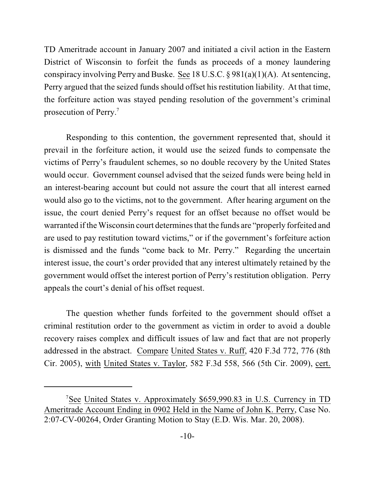TD Ameritrade account in January 2007 and initiated a civil action in the Eastern District of Wisconsin to forfeit the funds as proceeds of a money laundering conspiracy involving Perry and Buske. See 18 U.S.C. § 981(a)(1)(A). At sentencing, Perry argued that the seized funds should offset his restitution liability. At that time, the forfeiture action was stayed pending resolution of the government's criminal prosecution of Perry.<sup>7</sup>

Responding to this contention, the government represented that, should it prevail in the forfeiture action, it would use the seized funds to compensate the victims of Perry's fraudulent schemes, so no double recovery by the United States would occur. Government counsel advised that the seized funds were being held in an interest-bearing account but could not assure the court that all interest earned would also go to the victims, not to the government. After hearing argument on the issue, the court denied Perry's request for an offset because no offset would be warranted if the Wisconsin court determines that the funds are "properly forfeited and are used to pay restitution toward victims," or if the government's forfeiture action is dismissed and the funds "come back to Mr. Perry." Regarding the uncertain interest issue, the court's order provided that any interest ultimately retained by the government would offset the interest portion of Perry's restitution obligation. Perry appeals the court's denial of his offset request.

The question whether funds forfeited to the government should offset a criminal restitution order to the government as victim in order to avoid a double recovery raises complex and difficult issues of law and fact that are not properly addressed in the abstract. Compare United States v. Ruff, 420 F.3d 772, 776 (8th Cir. 2005), with United States v. Taylor, 582 F.3d 558, 566 (5th Cir. 2009), cert.

<sup>&</sup>lt;sup>7</sup>See United States v. Approximately \$659,990.83 in U.S. Currency in TD Ameritrade Account Ending in 0902 Held in the Name of John K. Perry, Case No. 2:07-CV-00264, Order Granting Motion to Stay (E.D. Wis. Mar. 20, 2008).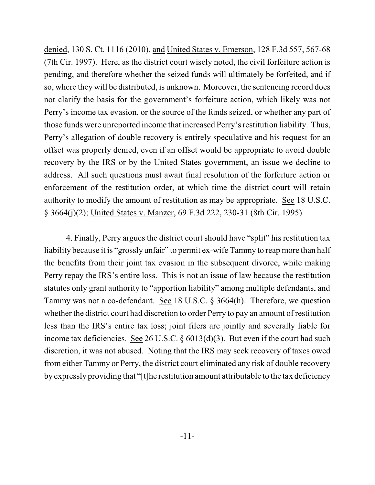denied, 130 S. Ct. 1116 (2010), and United States v. Emerson, 128 F.3d 557, 567-68 (7th Cir. 1997). Here, as the district court wisely noted, the civil forfeiture action is pending, and therefore whether the seized funds will ultimately be forfeited, and if so, where they will be distributed, is unknown. Moreover, the sentencing record does not clarify the basis for the government's forfeiture action, which likely was not Perry's income tax evasion, or the source of the funds seized, or whether any part of those funds were unreported income that increased Perry's restitution liability. Thus, Perry's allegation of double recovery is entirely speculative and his request for an offset was properly denied, even if an offset would be appropriate to avoid double recovery by the IRS or by the United States government, an issue we decline to address. All such questions must await final resolution of the forfeiture action or enforcement of the restitution order, at which time the district court will retain authority to modify the amount of restitution as may be appropriate. See 18 U.S.C. § 3664(j)(2); United States v. Manzer, 69 F.3d 222, 230-31 (8th Cir. 1995).

4. Finally, Perry argues the district court should have "split" his restitution tax liability because it is "grossly unfair" to permit ex-wife Tammy to reap more than half the benefits from their joint tax evasion in the subsequent divorce, while making Perry repay the IRS's entire loss. This is not an issue of law because the restitution statutes only grant authority to "apportion liability" among multiple defendants, and Tammy was not a co-defendant. See 18 U.S.C. § 3664(h). Therefore, we question whether the district court had discretion to order Perry to pay an amount of restitution less than the IRS's entire tax loss; joint filers are jointly and severally liable for income tax deficiencies. See 26 U.S.C. § 6013(d)(3). But even if the court had such discretion, it was not abused. Noting that the IRS may seek recovery of taxes owed from either Tammy or Perry, the district court eliminated any risk of double recovery by expressly providing that "[t]he restitution amount attributable to the tax deficiency